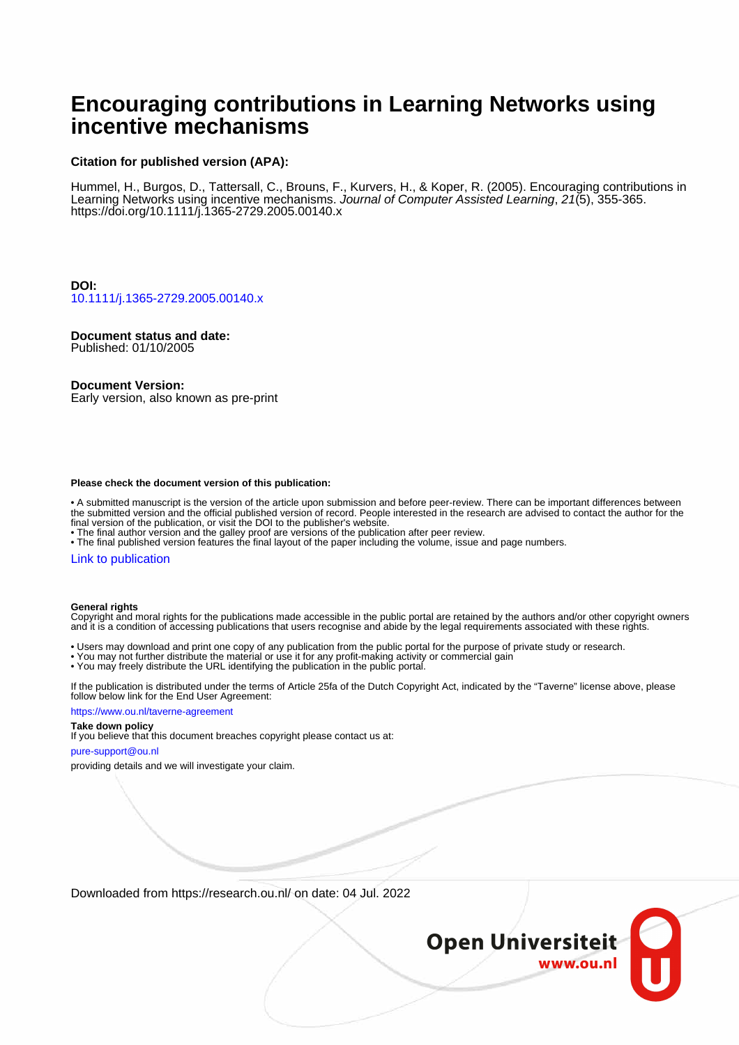# **Encouraging contributions in Learning Networks using incentive mechanisms**

#### **Citation for published version (APA):**

Hummel, H., Burgos, D., Tattersall, C., Brouns, F., Kurvers, H., & Koper, R. (2005). Encouraging contributions in Learning Networks using incentive mechanisms. Journal of Computer Assisted Learning, 21(5), 355-365. <https://doi.org/10.1111/j.1365-2729.2005.00140.x>

**DOI:** [10.1111/j.1365-2729.2005.00140.x](https://doi.org/10.1111/j.1365-2729.2005.00140.x)

#### **Document status and date:**

Published: 01/10/2005

#### **Document Version:**

Early version, also known as pre-print

#### **Please check the document version of this publication:**

• A submitted manuscript is the version of the article upon submission and before peer-review. There can be important differences between the submitted version and the official published version of record. People interested in the research are advised to contact the author for the final version of the publication, or visit the DOI to the publisher's website.

• The final author version and the galley proof are versions of the publication after peer review.

• The final published version features the final layout of the paper including the volume, issue and page numbers.

#### [Link to publication](https://research.ou.nl/en/publications/b997e247-f3f0-4c75-8d6a-1541228f67c1)

#### **General rights**

Copyright and moral rights for the publications made accessible in the public portal are retained by the authors and/or other copyright owners and it is a condition of accessing publications that users recognise and abide by the legal requirements associated with these rights.

- Users may download and print one copy of any publication from the public portal for the purpose of private study or research.
- You may not further distribute the material or use it for any profit-making activity or commercial gain
- You may freely distribute the URL identifying the publication in the public portal.

If the publication is distributed under the terms of Article 25fa of the Dutch Copyright Act, indicated by the "Taverne" license above, please follow below link for the End User Agreement:

#### https://www.ou.nl/taverne-agreement

#### **Take down policy**

If you believe that this document breaches copyright please contact us at:

#### pure-support@ou.nl

providing details and we will investigate your claim.

Downloaded from https://research.ou.nl/ on date: 04 Jul. 2022

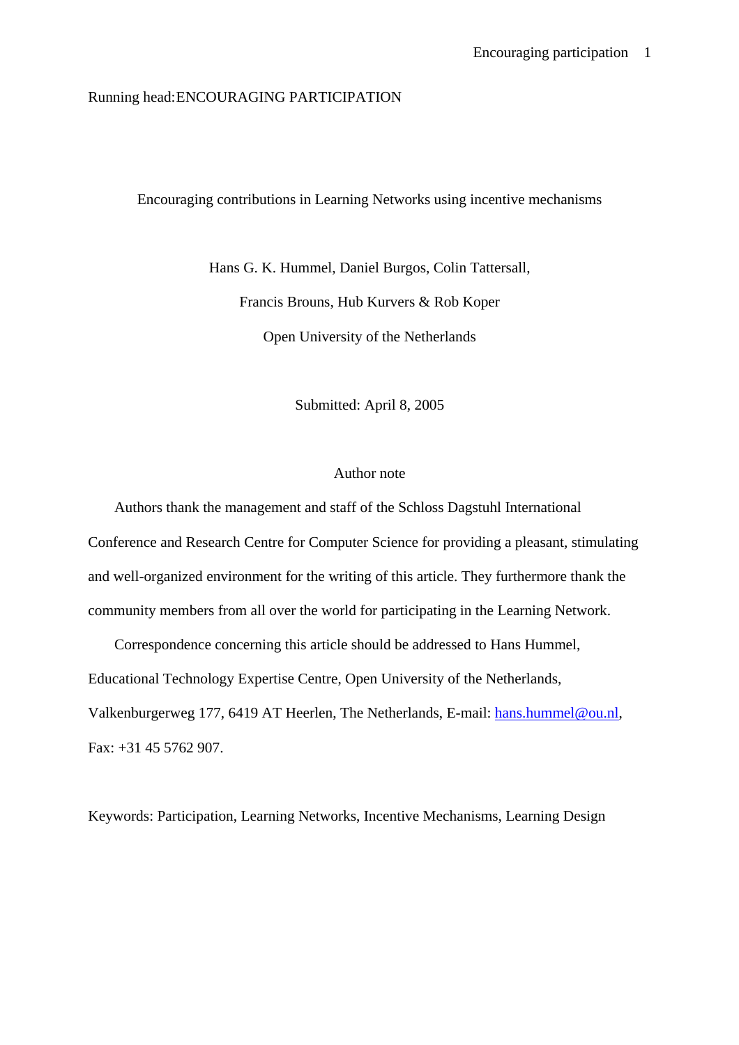### Running head: ENCOURAGING PARTICIPATION

### Encouraging contributions in Learning Networks using incentive mechanisms

Hans G. K. Hummel, Daniel Burgos, Colin Tattersall, Francis Brouns, Hub Kurvers & Rob Koper Open University of the Netherlands

Submitted: April 8, 2005

#### Author note

 Authors thank the management and staff of the Schloss Dagstuhl International Conference and Research Centre for Computer Science for providing a pleasant, stimulating and well-organized environment for the writing of this article. They furthermore thank the community members from all over the world for participating in the Learning Network.

 Correspondence concerning this article should be addressed to Hans Hummel, Educational Technology Expertise Centre, Open University of the Netherlands, Valkenburgerweg 177, 6419 AT Heerlen, The Netherlands, E-mail: hans.hummel@ou.nl, Fax: +31 45 5762 907.

Keywords: Participation, Learning Networks, Incentive Mechanisms, Learning Design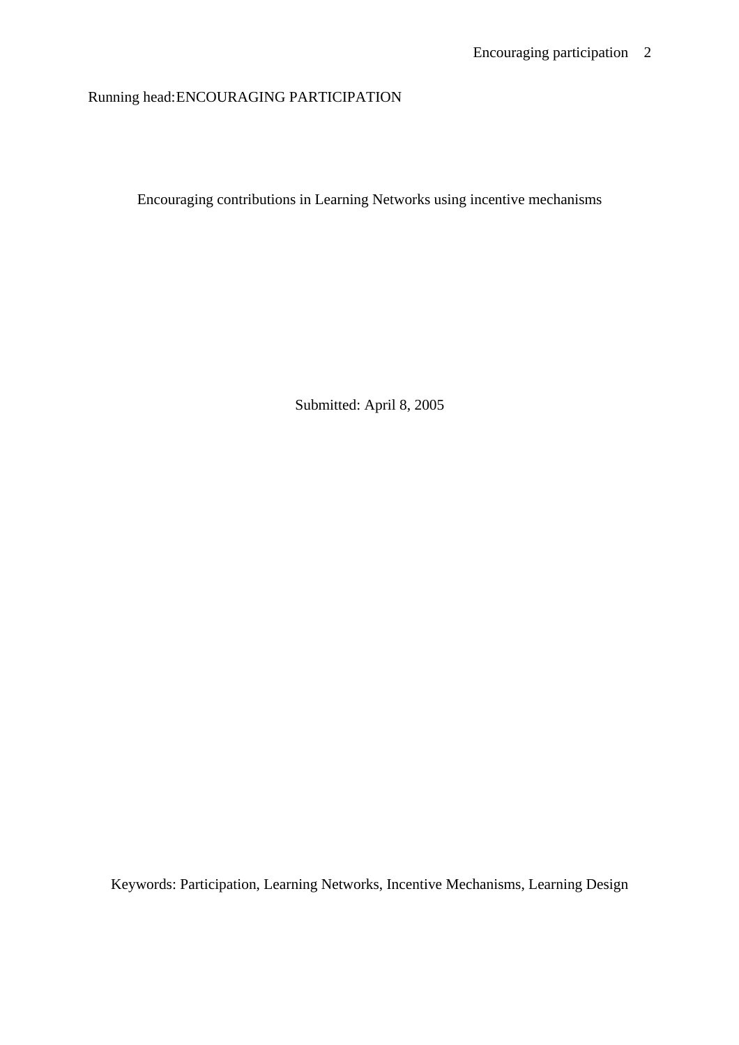## Running head: ENCOURAGING PARTICIPATION

Encouraging contributions in Learning Networks using incentive mechanisms

Submitted: April 8, 2005

Keywords: Participation, Learning Networks, Incentive Mechanisms, Learning Design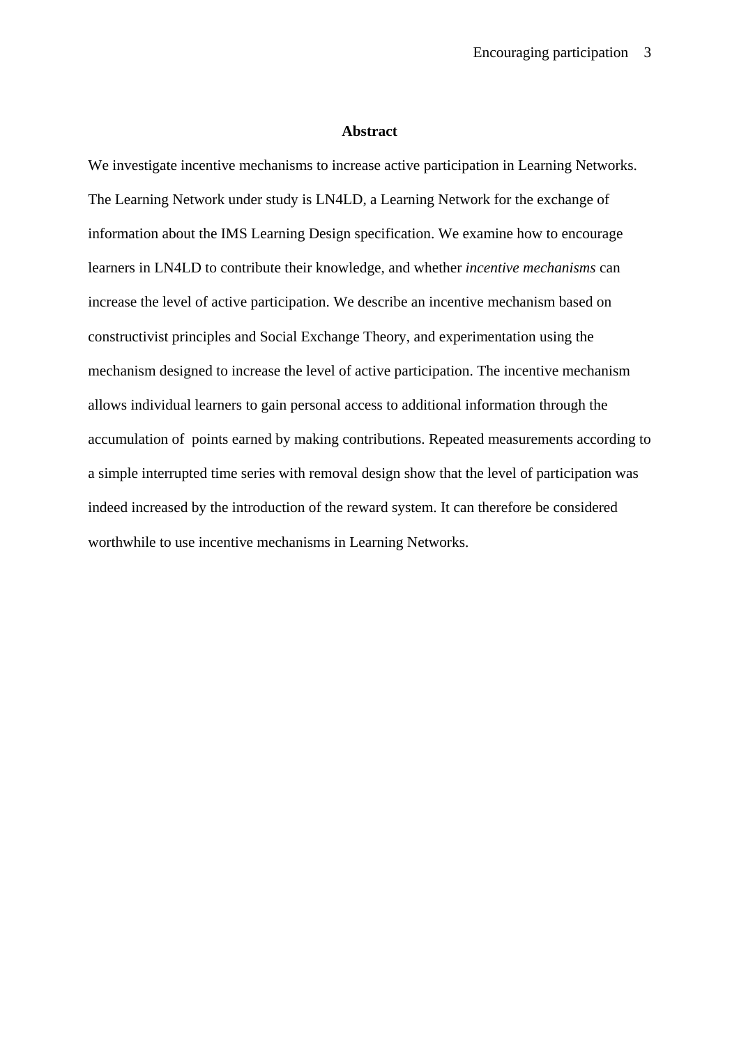#### **Abstract**

We investigate incentive mechanisms to increase active participation in Learning Networks. The Learning Network under study is LN4LD, a Learning Network for the exchange of information about the IMS Learning Design specification. We examine how to encourage learners in LN4LD to contribute their knowledge, and whether *incentive mechanisms* can increase the level of active participation. We describe an incentive mechanism based on constructivist principles and Social Exchange Theory, and experimentation using the mechanism designed to increase the level of active participation. The incentive mechanism allows individual learners to gain personal access to additional information through the accumulation of points earned by making contributions. Repeated measurements according to a simple interrupted time series with removal design show that the level of participation was indeed increased by the introduction of the reward system. It can therefore be considered worthwhile to use incentive mechanisms in Learning Networks.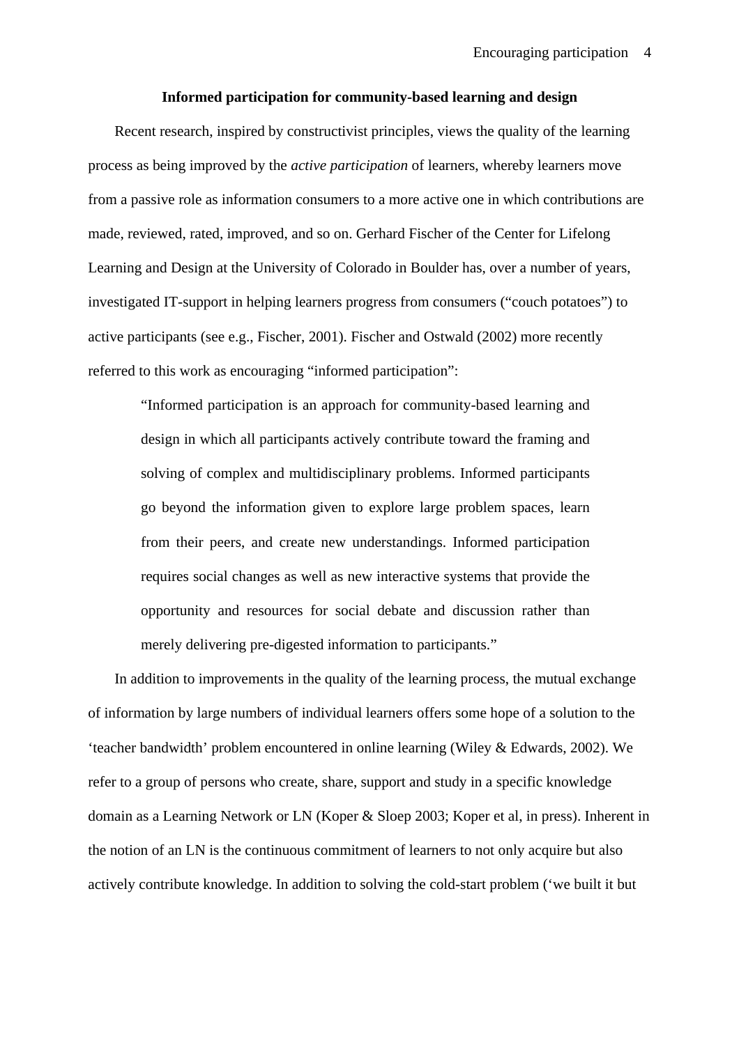#### **Informed participation for community-based learning and design**

Recent research, inspired by constructivist principles, views the quality of the learning process as being improved by the *active participation* of learners, whereby learners move from a passive role as information consumers to a more active one in which contributions are made, reviewed, rated, improved, and so on. Gerhard Fischer of the Center for Lifelong Learning and Design at the University of Colorado in Boulder has, over a number of years, investigated IT-support in helping learners progress from consumers ("couch potatoes") to active participants (see e.g., Fischer, 2001). Fischer and Ostwald (2002) more recently referred to this work as encouraging "informed participation":

"Informed participation is an approach for community-based learning and design in which all participants actively contribute toward the framing and solving of complex and multidisciplinary problems. Informed participants go beyond the information given to explore large problem spaces, learn from their peers, and create new understandings. Informed participation requires social changes as well as new interactive systems that provide the opportunity and resources for social debate and discussion rather than merely delivering pre-digested information to participants."

In addition to improvements in the quality of the learning process, the mutual exchange of information by large numbers of individual learners offers some hope of a solution to the 'teacher bandwidth' problem encountered in online learning (Wiley & Edwards, 2002). We refer to a group of persons who create, share, support and study in a specific knowledge domain as a Learning Network or LN (Koper & Sloep 2003; Koper et al, in press). Inherent in the notion of an LN is the continuous commitment of learners to not only acquire but also actively contribute knowledge. In addition to solving the cold-start problem ('we built it but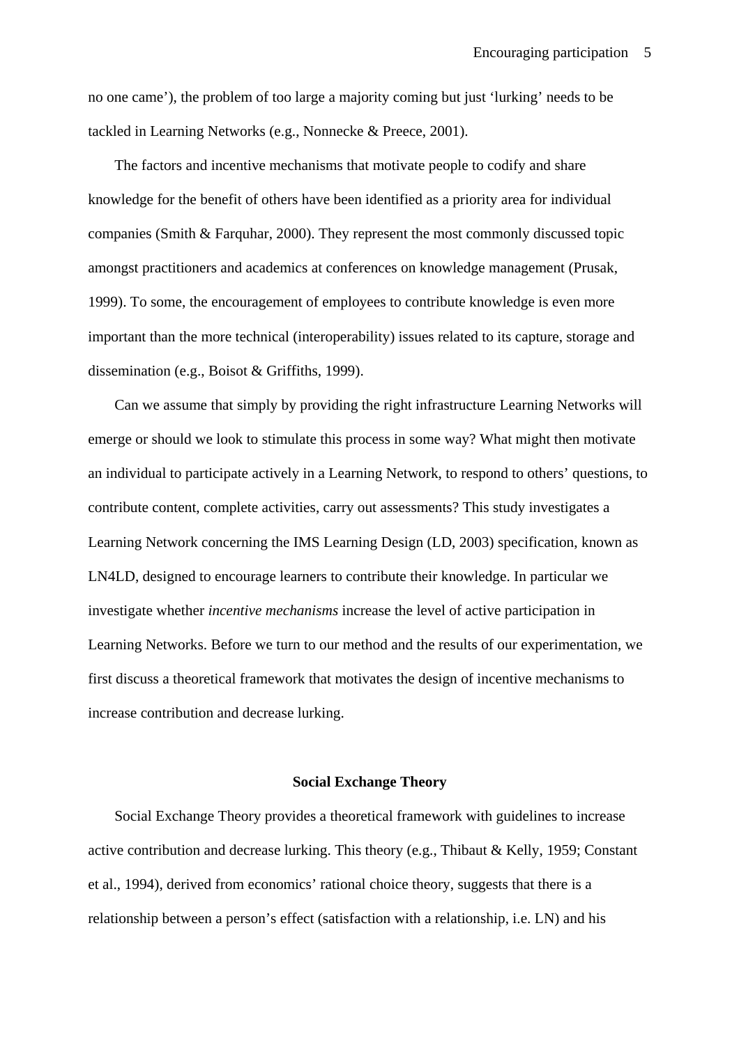no one came'), the problem of too large a majority coming but just 'lurking' needs to be tackled in Learning Networks (e.g., Nonnecke & Preece, 2001).

The factors and incentive mechanisms that motivate people to codify and share knowledge for the benefit of others have been identified as a priority area for individual companies (Smith & Farquhar, 2000). They represent the most commonly discussed topic amongst practitioners and academics at conferences on knowledge management (Prusak, 1999). To some, the encouragement of employees to contribute knowledge is even more important than the more technical (interoperability) issues related to its capture, storage and dissemination (e.g., Boisot & Griffiths, 1999).

Can we assume that simply by providing the right infrastructure Learning Networks will emerge or should we look to stimulate this process in some way? What might then motivate an individual to participate actively in a Learning Network, to respond to others' questions, to contribute content, complete activities, carry out assessments? This study investigates a Learning Network concerning the IMS Learning Design (LD, 2003) specification, known as LN4LD, designed to encourage learners to contribute their knowledge. In particular we investigate whether *incentive mechanisms* increase the level of active participation in Learning Networks. Before we turn to our method and the results of our experimentation, we first discuss a theoretical framework that motivates the design of incentive mechanisms to increase contribution and decrease lurking.

### **Social Exchange Theory**

Social Exchange Theory provides a theoretical framework with guidelines to increase active contribution and decrease lurking. This theory (e.g., Thibaut & Kelly, 1959; Constant et al., 1994), derived from economics' rational choice theory, suggests that there is a relationship between a person's effect (satisfaction with a relationship, i.e. LN) and his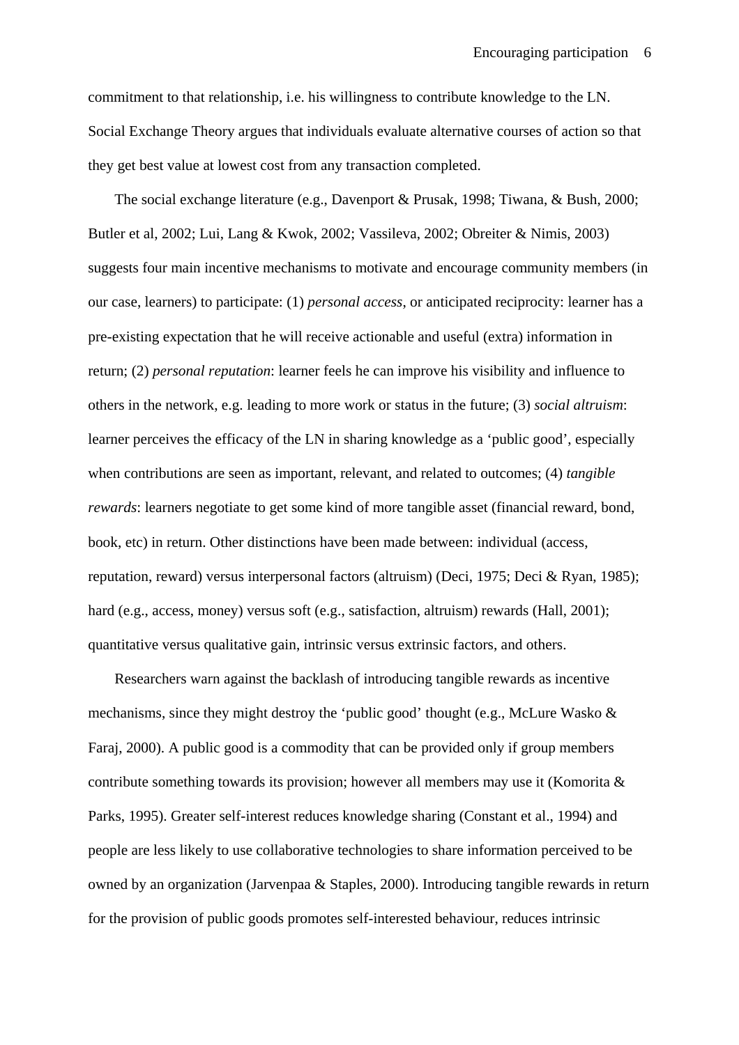commitment to that relationship, i.e. his willingness to contribute knowledge to the LN. Social Exchange Theory argues that individuals evaluate alternative courses of action so that they get best value at lowest cost from any transaction completed.

The social exchange literature (e.g., Davenport & Prusak, 1998; Tiwana, & Bush, 2000; Butler et al, 2002; Lui, Lang & Kwok, 2002; Vassileva, 2002; Obreiter & Nimis, 2003) suggests four main incentive mechanisms to motivate and encourage community members (in our case, learners) to participate: (1) *personal access*, or anticipated reciprocity: learner has a pre-existing expectation that he will receive actionable and useful (extra) information in return; (2) *personal reputation*: learner feels he can improve his visibility and influence to others in the network, e.g. leading to more work or status in the future; (3) *social altruism*: learner perceives the efficacy of the LN in sharing knowledge as a 'public good', especially when contributions are seen as important, relevant, and related to outcomes; (4) *tangible rewards*: learners negotiate to get some kind of more tangible asset (financial reward, bond, book, etc) in return. Other distinctions have been made between: individual (access, reputation, reward) versus interpersonal factors (altruism) (Deci, 1975; Deci & Ryan, 1985); hard (e.g., access, money) versus soft (e.g., satisfaction, altruism) rewards (Hall, 2001); quantitative versus qualitative gain, intrinsic versus extrinsic factors, and others.

Researchers warn against the backlash of introducing tangible rewards as incentive mechanisms, since they might destroy the 'public good' thought (e.g., McLure Wasko & Faraj, 2000). A public good is a commodity that can be provided only if group members contribute something towards its provision; however all members may use it (Komorita & Parks, 1995). Greater self-interest reduces knowledge sharing (Constant et al., 1994) and people are less likely to use collaborative technologies to share information perceived to be owned by an organization (Jarvenpaa & Staples, 2000). Introducing tangible rewards in return for the provision of public goods promotes self-interested behaviour, reduces intrinsic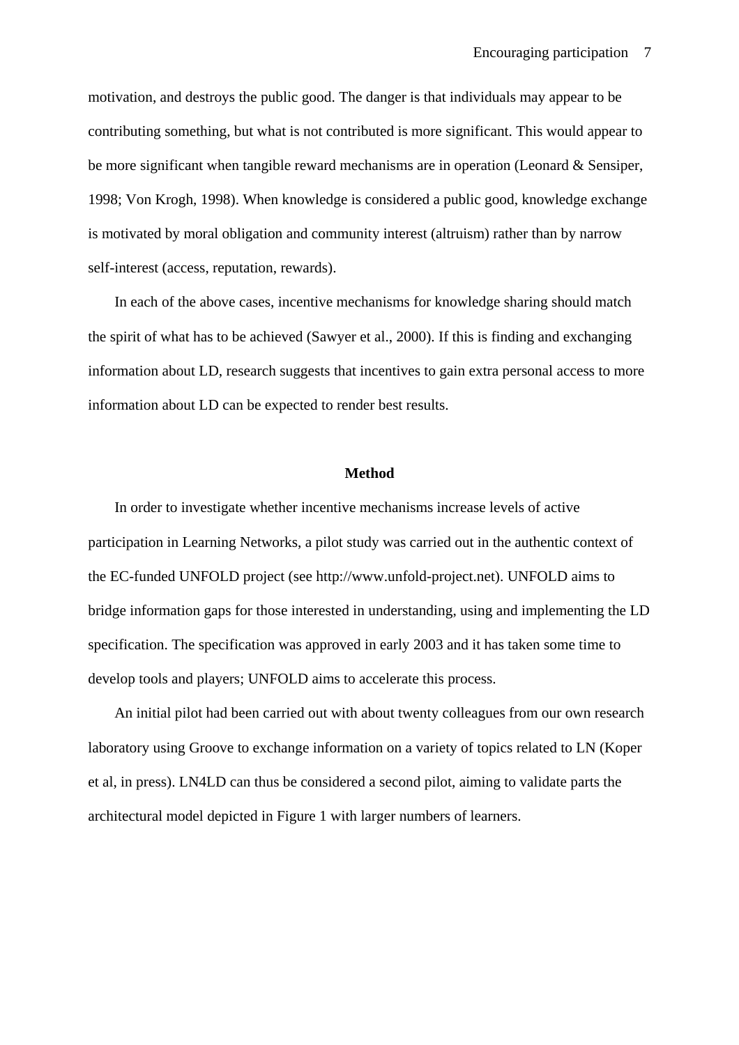motivation, and destroys the public good. The danger is that individuals may appear to be contributing something, but what is not contributed is more significant. This would appear to be more significant when tangible reward mechanisms are in operation (Leonard & Sensiper, 1998; Von Krogh, 1998). When knowledge is considered a public good, knowledge exchange is motivated by moral obligation and community interest (altruism) rather than by narrow self-interest (access, reputation, rewards).

In each of the above cases, incentive mechanisms for knowledge sharing should match the spirit of what has to be achieved (Sawyer et al., 2000). If this is finding and exchanging information about LD, research suggests that incentives to gain extra personal access to more information about LD can be expected to render best results.

#### **Method**

In order to investigate whether incentive mechanisms increase levels of active participation in Learning Networks, a pilot study was carried out in the authentic context of the EC-funded UNFOLD project (see http://www.unfold-project.net). UNFOLD aims to bridge information gaps for those interested in understanding, using and implementing the LD specification. The specification was approved in early 2003 and it has taken some time to develop tools and players; UNFOLD aims to accelerate this process.

An initial pilot had been carried out with about twenty colleagues from our own research laboratory using Groove to exchange information on a variety of topics related to LN (Koper et al, in press). LN4LD can thus be considered a second pilot, aiming to validate parts the architectural model depicted in Figure 1 with larger numbers of learners.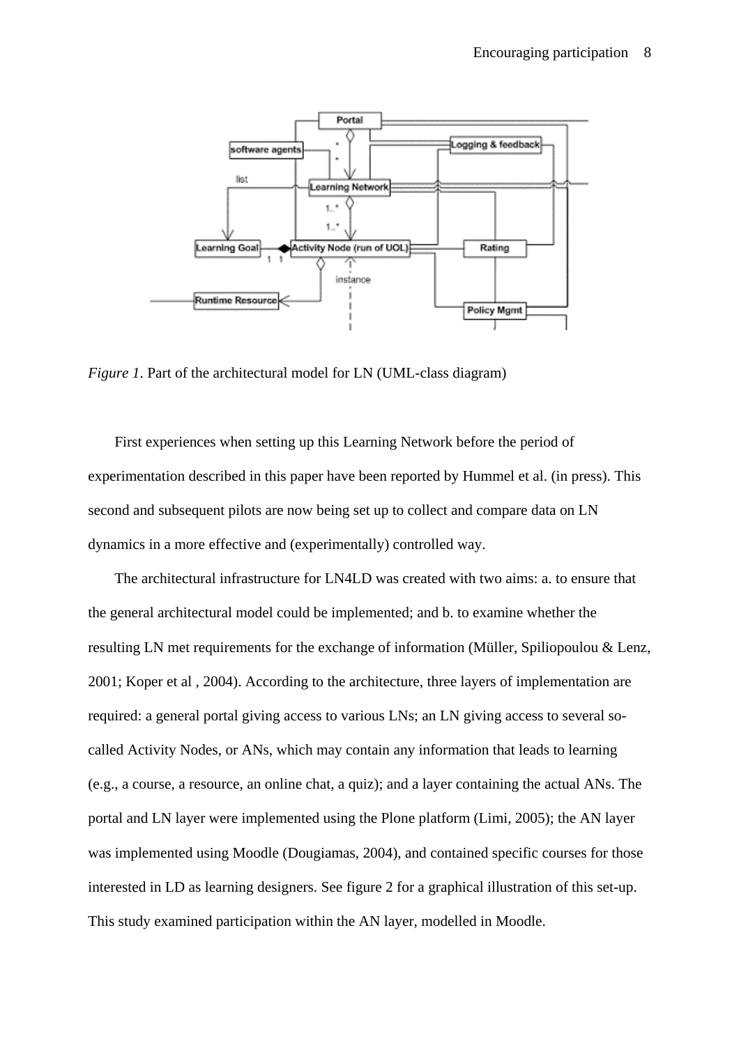

*Figure 1*. Part of the architectural model for LN (UML-class diagram)

First experiences when setting up this Learning Network before the period of experimentation described in this paper have been reported by Hummel et al. (in press). This second and subsequent pilots are now being set up to collect and compare data on LN dynamics in a more effective and (experimentally) controlled way.

The architectural infrastructure for LN4LD was created with two aims: a. to ensure that the general architectural model could be implemented; and b. to examine whether the resulting LN met requirements for the exchange of information (Müller, Spiliopoulou & Lenz, 2001; Koper et al , 2004). According to the architecture, three layers of implementation are required: a general portal giving access to various LNs; an LN giving access to several socalled Activity Nodes, or ANs, which may contain any information that leads to learning (e.g., a course, a resource, an online chat, a quiz); and a layer containing the actual ANs. The portal and LN layer were implemented using the Plone platform (Limi, 2005); the AN layer was implemented using Moodle (Dougiamas, 2004), and contained specific courses for those interested in LD as learning designers. See figure 2 for a graphical illustration of this set-up. This study examined participation within the AN layer, modelled in Moodle.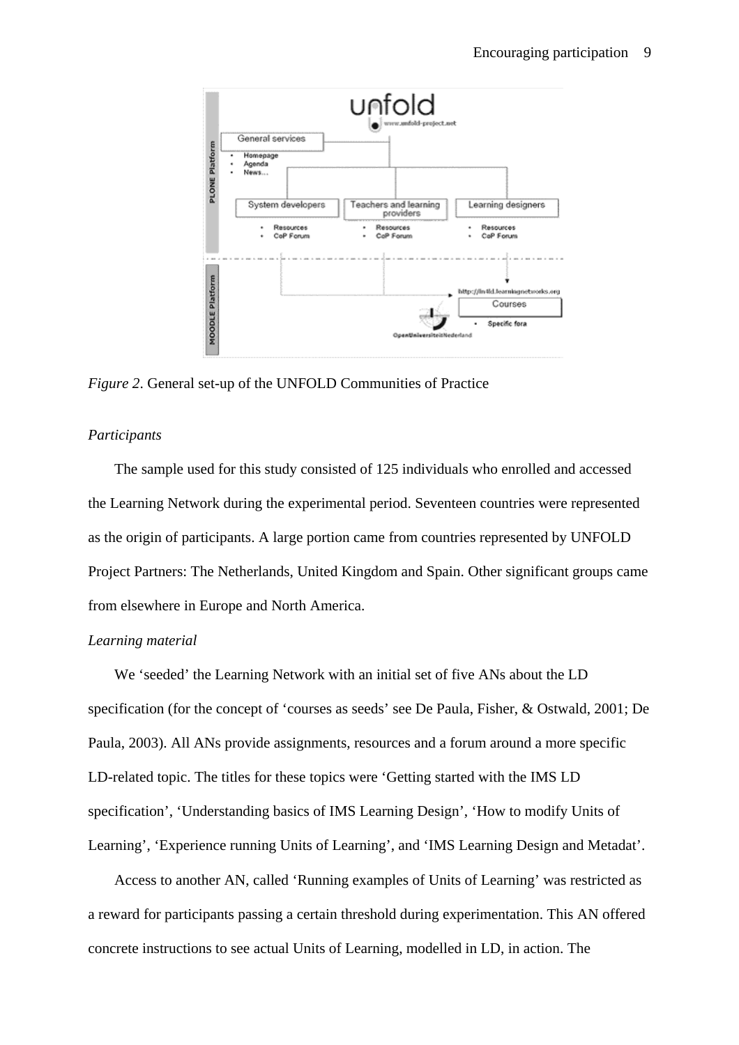

*Figure 2*. General set-up of the UNFOLD Communities of Practice

### *Participants*

 The sample used for this study consisted of 125 individuals who enrolled and accessed the Learning Network during the experimental period. Seventeen countries were represented as the origin of participants. A large portion came from countries represented by UNFOLD Project Partners: The Netherlands, United Kingdom and Spain. Other significant groups came from elsewhere in Europe and North America.

#### *Learning material*

 We 'seeded' the Learning Network with an initial set of five ANs about the LD specification (for the concept of 'courses as seeds' see De Paula, Fisher, & Ostwald, 2001; De Paula, 2003). All ANs provide assignments, resources and a forum around a more specific LD-related topic. The titles for these topics were 'Getting started with the IMS LD specification', 'Understanding basics of IMS Learning Design', 'How to modify Units of Learning', 'Experience running Units of Learning', and 'IMS Learning Design and Metadat'.

 Access to another AN, called 'Running examples of Units of Learning' was restricted as a reward for participants passing a certain threshold during experimentation. This AN offered concrete instructions to see actual Units of Learning, modelled in LD, in action. The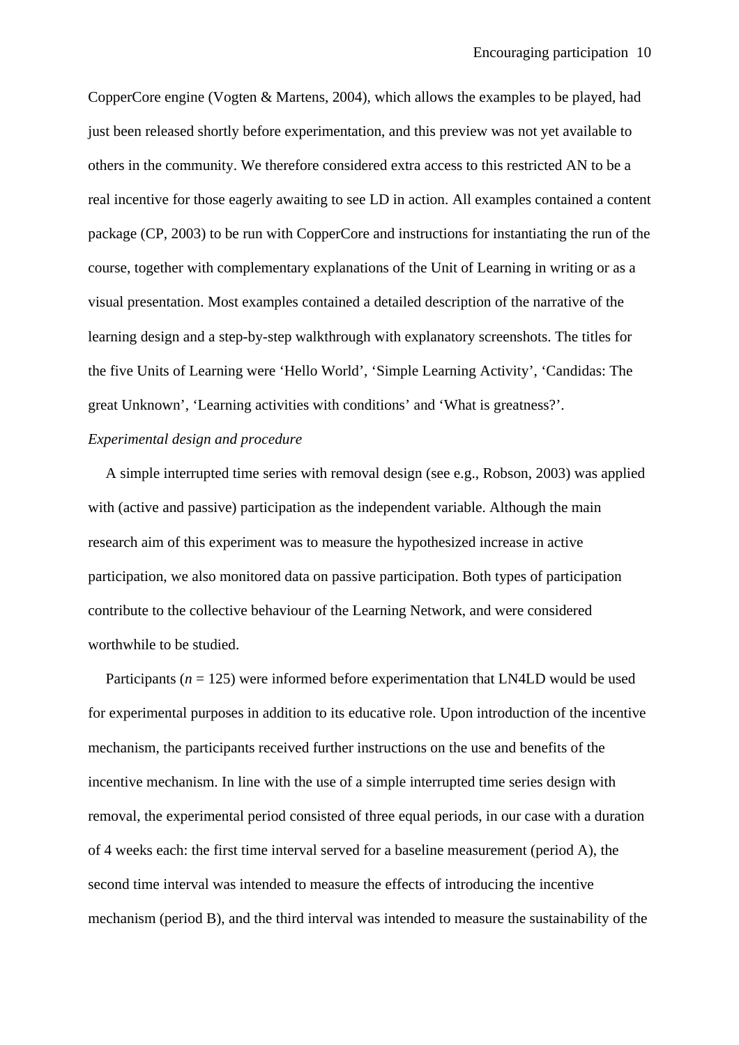CopperCore engine (Vogten & Martens, 2004), which allows the examples to be played, had just been released shortly before experimentation, and this preview was not yet available to others in the community. We therefore considered extra access to this restricted AN to be a real incentive for those eagerly awaiting to see LD in action. All examples contained a content package (CP, 2003) to be run with CopperCore and instructions for instantiating the run of the course, together with complementary explanations of the Unit of Learning in writing or as a visual presentation. Most examples contained a detailed description of the narrative of the learning design and a step-by-step walkthrough with explanatory screenshots. The titles for the five Units of Learning were 'Hello World', 'Simple Learning Activity', 'Candidas: The great Unknown', 'Learning activities with conditions' and 'What is greatness?'. *Experimental design and procedure* 

A simple interrupted time series with removal design (see e.g., Robson, 2003) was applied with (active and passive) participation as the independent variable. Although the main research aim of this experiment was to measure the hypothesized increase in active participation, we also monitored data on passive participation. Both types of participation contribute to the collective behaviour of the Learning Network, and were considered worthwhile to be studied.

Participants ( $n = 125$ ) were informed before experimentation that LN4LD would be used for experimental purposes in addition to its educative role. Upon introduction of the incentive mechanism, the participants received further instructions on the use and benefits of the incentive mechanism. In line with the use of a simple interrupted time series design with removal, the experimental period consisted of three equal periods, in our case with a duration of 4 weeks each: the first time interval served for a baseline measurement (period A), the second time interval was intended to measure the effects of introducing the incentive mechanism (period B), and the third interval was intended to measure the sustainability of the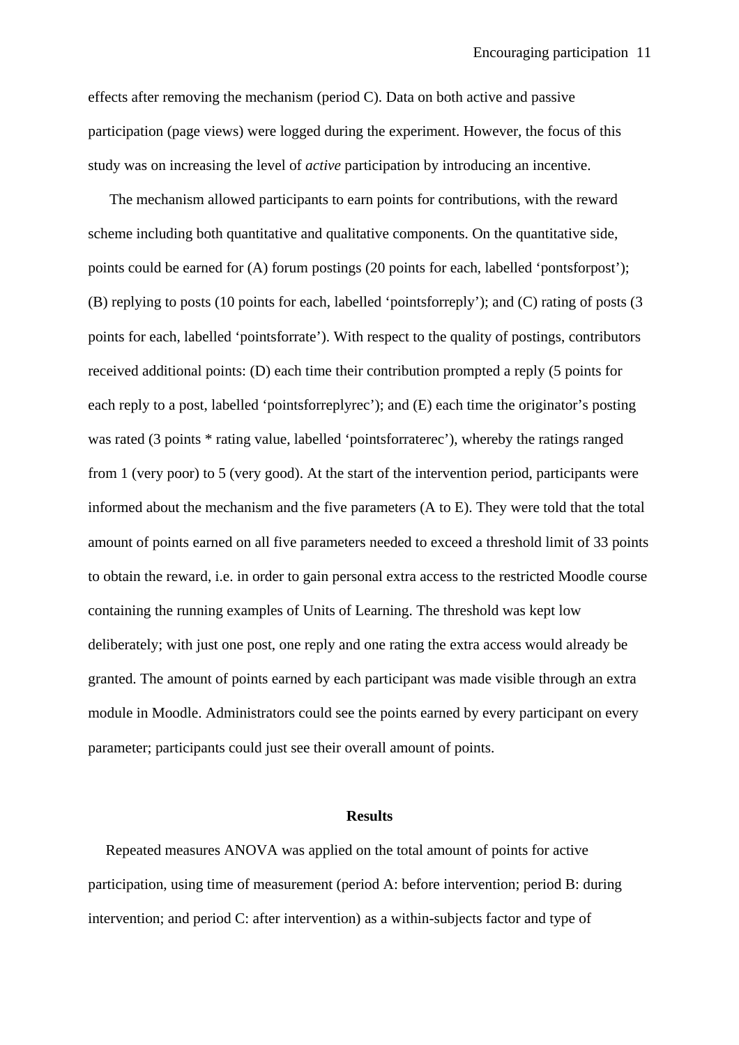effects after removing the mechanism (period C). Data on both active and passive participation (page views) were logged during the experiment. However, the focus of this study was on increasing the level of *active* participation by introducing an incentive.

 The mechanism allowed participants to earn points for contributions, with the reward scheme including both quantitative and qualitative components. On the quantitative side, points could be earned for (A) forum postings (20 points for each, labelled 'pontsforpost'); (B) replying to posts (10 points for each, labelled 'pointsforreply'); and (C) rating of posts (3 points for each, labelled 'pointsforrate'). With respect to the quality of postings, contributors received additional points: (D) each time their contribution prompted a reply (5 points for each reply to a post, labelled 'pointsforreplyrec'); and (E) each time the originator's posting was rated (3 points \* rating value, labelled 'pointsforraterec'), whereby the ratings ranged from 1 (very poor) to 5 (very good). At the start of the intervention period, participants were informed about the mechanism and the five parameters (A to E). They were told that the total amount of points earned on all five parameters needed to exceed a threshold limit of 33 points to obtain the reward, i.e. in order to gain personal extra access to the restricted Moodle course containing the running examples of Units of Learning. The threshold was kept low deliberately; with just one post, one reply and one rating the extra access would already be granted. The amount of points earned by each participant was made visible through an extra module in Moodle. Administrators could see the points earned by every participant on every parameter; participants could just see their overall amount of points.

#### **Results**

Repeated measures ANOVA was applied on the total amount of points for active participation, using time of measurement (period A: before intervention; period B: during intervention; and period C: after intervention) as a within-subjects factor and type of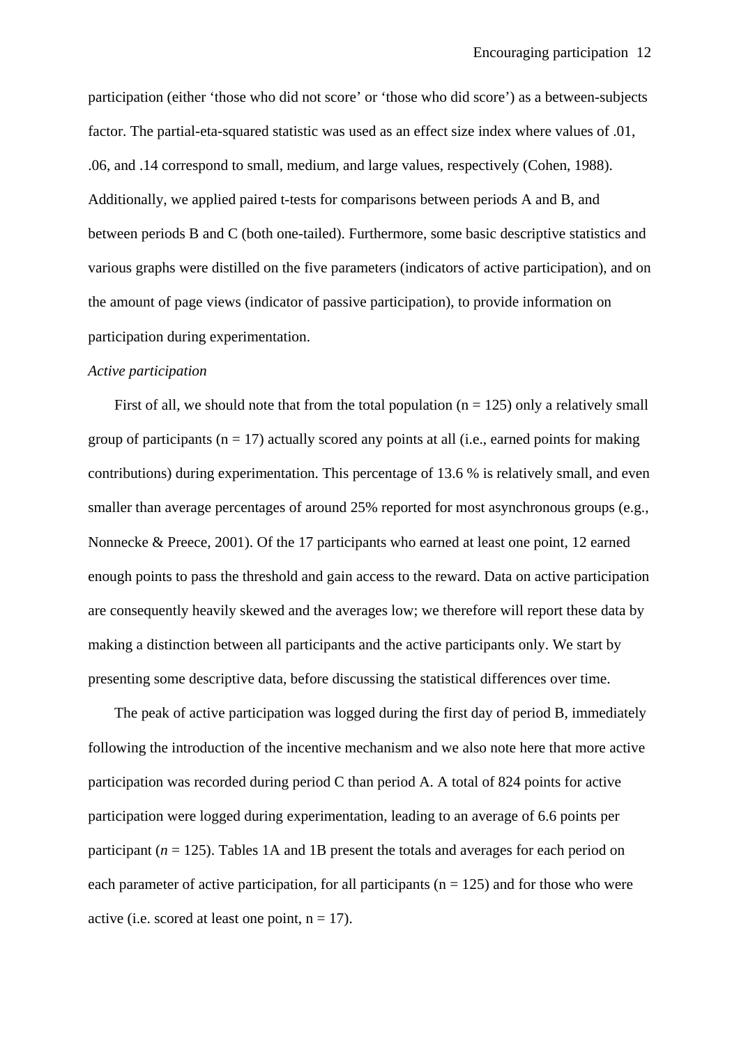participation (either 'those who did not score' or 'those who did score') as a between-subjects factor. The partial-eta-squared statistic was used as an effect size index where values of .01, .06, and .14 correspond to small, medium, and large values, respectively (Cohen, 1988). Additionally, we applied paired t-tests for comparisons between periods A and B, and between periods B and C (both one-tailed). Furthermore, some basic descriptive statistics and various graphs were distilled on the five parameters (indicators of active participation), and on the amount of page views (indicator of passive participation), to provide information on participation during experimentation.

#### *Active participation*

First of all, we should note that from the total population  $(n = 125)$  only a relatively small group of participants ( $n = 17$ ) actually scored any points at all (i.e., earned points for making contributions) during experimentation. This percentage of 13.6 % is relatively small, and even smaller than average percentages of around 25% reported for most asynchronous groups (e.g., Nonnecke & Preece, 2001). Of the 17 participants who earned at least one point, 12 earned enough points to pass the threshold and gain access to the reward. Data on active participation are consequently heavily skewed and the averages low; we therefore will report these data by making a distinction between all participants and the active participants only. We start by presenting some descriptive data, before discussing the statistical differences over time.

 The peak of active participation was logged during the first day of period B, immediately following the introduction of the incentive mechanism and we also note here that more active participation was recorded during period C than period A. A total of 824 points for active participation were logged during experimentation, leading to an average of 6.6 points per participant ( $n = 125$ ). Tables 1A and 1B present the totals and averages for each period on each parameter of active participation, for all participants ( $n = 125$ ) and for those who were active (i.e. scored at least one point,  $n = 17$ ).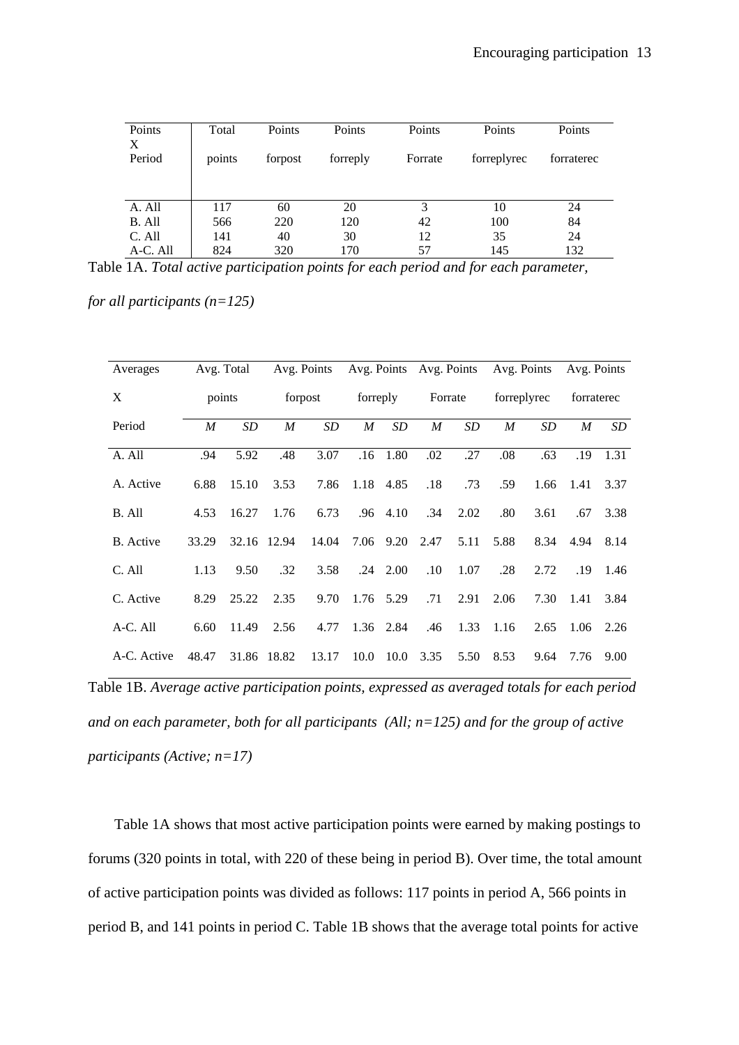| Points   | Total  | Points  | Points   | Points  | Points      | Points     |  |
|----------|--------|---------|----------|---------|-------------|------------|--|
| X        |        |         |          |         |             |            |  |
| Period   | points | forpost | forreply | Forrate | forreplyrec | forraterec |  |
|          |        |         |          |         |             |            |  |
|          |        |         |          |         |             |            |  |
| A. All   | 117    | 60      | 20       | 3       | 10          | 24         |  |
| B. All   | 566    | 220     | 120      | 42      | 100         | 84         |  |
| C. All   | 141    | 40      | 30       | 12      | 35          | 24         |  |
| A-C. All | 824    | 320     | 170      | 57      | 145         | 132        |  |

Table 1A. *Total active participation points for each period and for each parameter,* 

*for all participants (n=125)* 

| Averages         |       | Avg. Total  |             | Avg. Points |                      |                  | Avg. Points Avg. Points |           |      | Avg. Points | Avg. Points |      |
|------------------|-------|-------------|-------------|-------------|----------------------|------------------|-------------------------|-----------|------|-------------|-------------|------|
| X                |       | points      |             | forpost     | forreply             |                  | Forrate                 |           |      | forreplyrec | forraterec  |      |
| Period           | M     | <b>SD</b>   | M           | SD          | M                    | SD               | $\boldsymbol{M}$        | <b>SD</b> | M    | SD          | M           | SD.  |
| A. All           | .94   | 5.92        | .48         | 3.07        | .16                  | 1.80             | .02                     | .27       | .08  | .63         | .19         | 1.31 |
| A. Active        | 6.88  | 15.10       | 3.53        |             | 7.86 1.18 4.85       |                  | .18                     | .73       | .59  |             | 1.66 1.41   | 3.37 |
| B. All           | 4.53  | 16.27       | 1.76        | 6.73        |                      | $.96$ 4.10       | .34                     | 2.02      | .80  | 3.61        | .67         | 3.38 |
| <b>B.</b> Active | 33.29 |             | 32.16 12.94 |             | 14.04 7.06 9.20 2.47 |                  |                         | 5.11      | 5.88 |             | 8.34 4.94   | 8.14 |
| C. All           | 1.13  | 9.50        | .32         | 3.58        |                      | $.24 \quad 2.00$ | $.10\,$                 | 1.07      | .28  | 2.72        | .19         | 1.46 |
| C. Active        | 8.29  | 25.22       | 2.35        | 9.70        |                      | 1.76 5.29        | .71                     | 2.91      | 2.06 | 7.30        | 1.41        | 3.84 |
| A-C. All         | 6.60  | 11.49       | 2.56        | 4.77        |                      | 1.36 2.84        | .46                     | 1.33      | 1.16 | 2.65        | 1.06 2.26   |      |
| A-C. Active      | 48.47 | 31.86 18.82 |             | 13.17       | 10.0                 | 10.0             | 3.35                    | 5.50      | 8.53 | 9.64        | 7.76        | 9.00 |

Table 1B. *Average active participation points, expressed as averaged totals for each period and on each parameter, both for all participants (All; n=125) and for the group of active participants (Active; n=17)*

 Table 1A shows that most active participation points were earned by making postings to forums (320 points in total, with 220 of these being in period B). Over time, the total amount of active participation points was divided as follows: 117 points in period A, 566 points in period B, and 141 points in period C. Table 1B shows that the average total points for active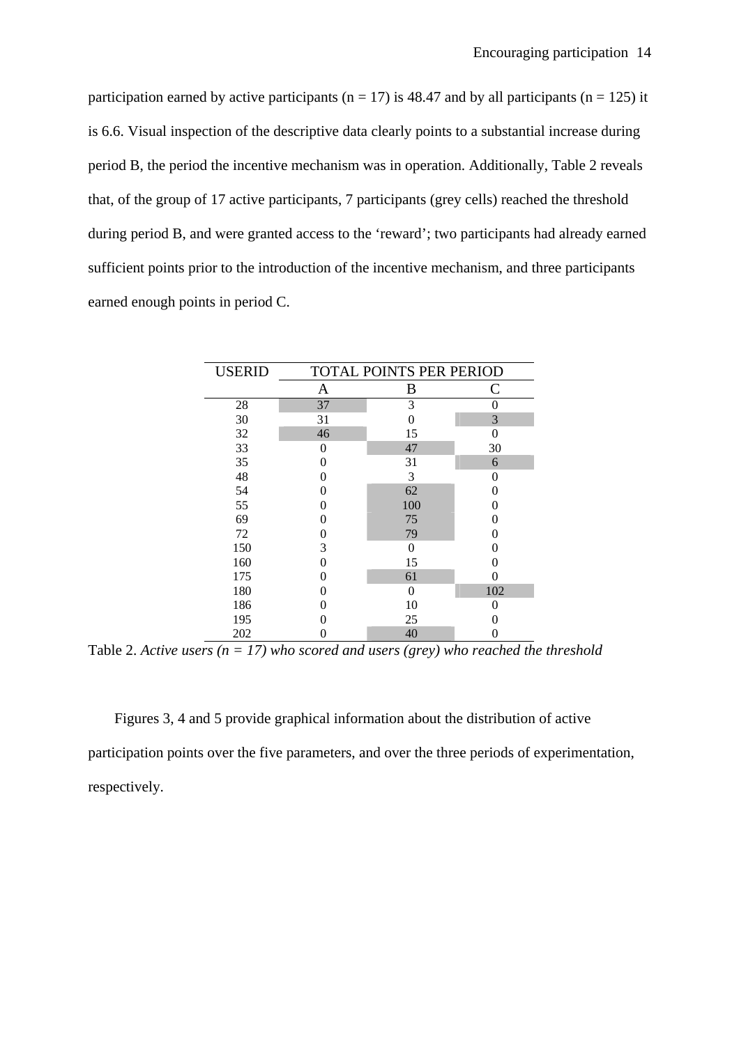participation earned by active participants ( $n = 17$ ) is 48.47 and by all participants ( $n = 125$ ) it is 6.6. Visual inspection of the descriptive data clearly points to a substantial increase during period B, the period the incentive mechanism was in operation. Additionally, Table 2 reveals that, of the group of 17 active participants, 7 participants (grey cells) reached the threshold during period B, and were granted access to the 'reward'; two participants had already earned sufficient points prior to the introduction of the incentive mechanism, and three participants earned enough points in period C.

| <b>USERID</b> | <b>TOTAL POINTS PER PERIOD</b> |          |                   |  |  |  |  |  |
|---------------|--------------------------------|----------|-------------------|--|--|--|--|--|
|               | A                              | B        | $\mathsf{C}$      |  |  |  |  |  |
| 28            | 37                             | 3        | 0                 |  |  |  |  |  |
| 30            | 31                             | 0        | 3                 |  |  |  |  |  |
| 32            | 46                             | 15       | 0                 |  |  |  |  |  |
| 33            | 0                              | 47       | 30                |  |  |  |  |  |
| 35            | 0                              | 31       | 6                 |  |  |  |  |  |
| 48            | 0                              | 3        | 0                 |  |  |  |  |  |
| 54            | 0                              | 62       | 0                 |  |  |  |  |  |
| 55            | 0                              | 100      | 0                 |  |  |  |  |  |
| 69            | 0                              | 75       | 0                 |  |  |  |  |  |
| 72            | 0                              | 79       | 0                 |  |  |  |  |  |
| 150           | 3                              | $\theta$ | 0                 |  |  |  |  |  |
| 160           | 0                              | 15       | 0                 |  |  |  |  |  |
| 175           | 0                              | 61       | 0                 |  |  |  |  |  |
| 180           | 0                              | $\theta$ | 102               |  |  |  |  |  |
| 186           | 0                              | 10       | 0                 |  |  |  |  |  |
| 195           | 0                              | 25       | $\mathbf{\Omega}$ |  |  |  |  |  |
| 202           | 0                              | 40       | 0                 |  |  |  |  |  |

Table 2. *Active users (n = 17) who scored and users (grey) who reached the threshold* 

 Figures 3, 4 and 5 provide graphical information about the distribution of active participation points over the five parameters, and over the three periods of experimentation, respectively.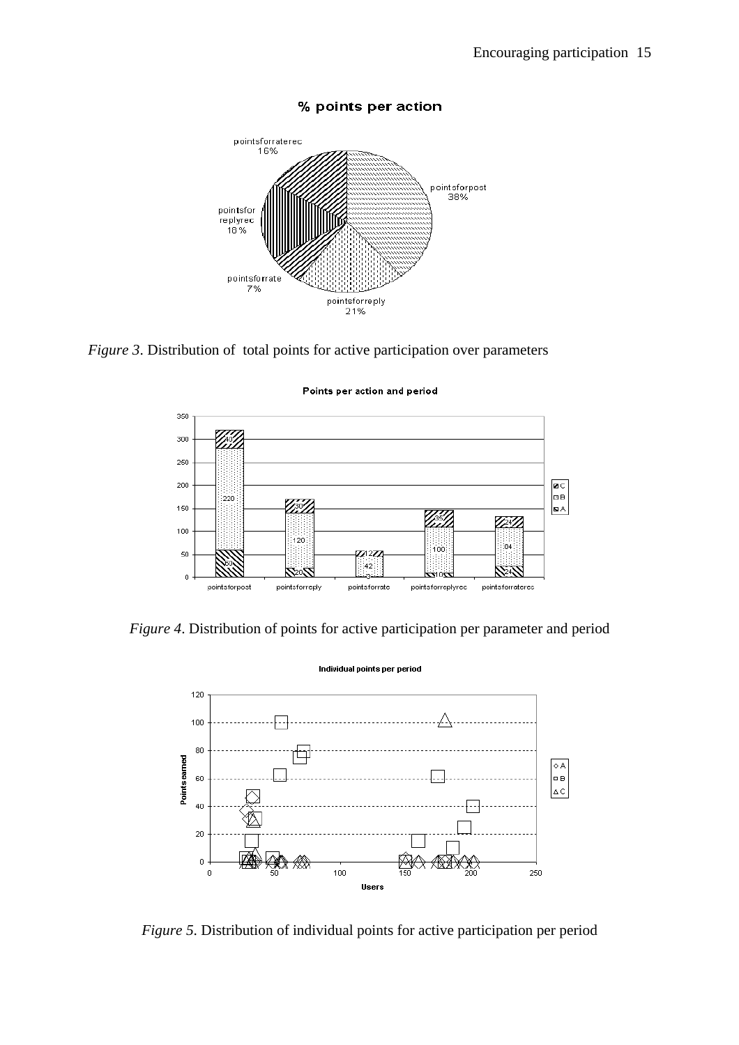

### % points per action

*Figure 3*. Distribution of total points for active participation over parameters



Points per action and period

*Figure 4*. Distribution of points for active participation per parameter and period



*Figure 5*. Distribution of individual points for active participation per period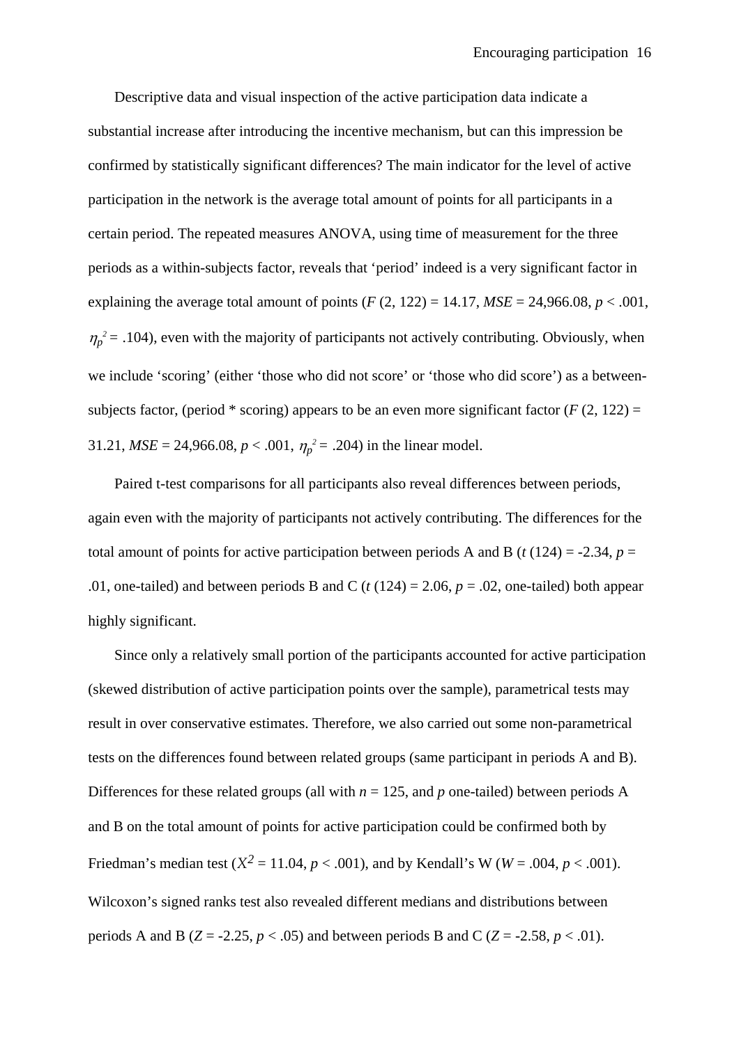Descriptive data and visual inspection of the active participation data indicate a substantial increase after introducing the incentive mechanism, but can this impression be confirmed by statistically significant differences? The main indicator for the level of active participation in the network is the average total amount of points for all participants in a certain period. The repeated measures ANOVA, using time of measurement for the three periods as a within-subjects factor, reveals that 'period' indeed is a very significant factor in explaining the average total amount of points  $(F (2, 122) = 14.17, MSE = 24,966.08, p < .001,$  $\eta_p^2$  = .104), even with the majority of participants not actively contributing. Obviously, when we include 'scoring' (either 'those who did not score' or 'those who did score') as a betweensubjects factor, (period  $*$  scoring) appears to be an even more significant factor ( $F(2, 122) =$ 31.21,  $MSE = 24,966.08, p < .001, \eta_p^2 = .204$  in the linear model.

 Paired t-test comparisons for all participants also reveal differences between periods, again even with the majority of participants not actively contributing. The differences for the total amount of points for active participation between periods A and B ( $t$  (124) = -2.34,  $p =$ .01, one-tailed) and between periods B and C ( $t$  (124) = 2.06,  $p = .02$ , one-tailed) both appear highly significant.

 Since only a relatively small portion of the participants accounted for active participation (skewed distribution of active participation points over the sample), parametrical tests may result in over conservative estimates. Therefore, we also carried out some non-parametrical tests on the differences found between related groups (same participant in periods A and B). Differences for these related groups (all with  $n = 125$ , and  $p$  one-tailed) between periods A and B on the total amount of points for active participation could be confirmed both by Friedman's median test ( $X^2 = 11.04$ ,  $p < .001$ ), and by Kendall's W ( $W = .004$ ,  $p < .001$ ). Wilcoxon's signed ranks test also revealed different medians and distributions between periods A and B ( $Z = -2.25$ ,  $p < .05$ ) and between periods B and C ( $Z = -2.58$ ,  $p < .01$ ).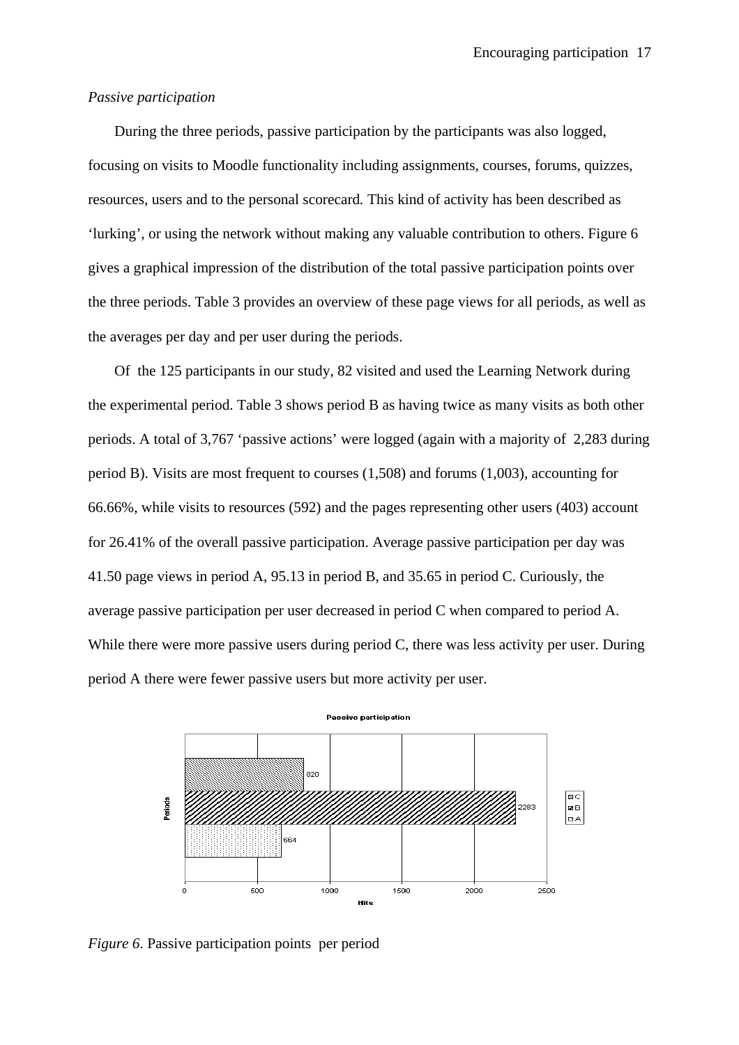### *Passive participation*

 During the three periods, passive participation by the participants was also logged, focusing on visits to Moodle functionality including assignments, courses, forums, quizzes, resources, users and to the personal scorecard*.* This kind of activity has been described as 'lurking', or using the network without making any valuable contribution to others. Figure 6 gives a graphical impression of the distribution of the total passive participation points over the three periods. Table 3 provides an overview of these page views for all periods, as well as the averages per day and per user during the periods.

 Of the 125 participants in our study, 82 visited and used the Learning Network during the experimental period. Table 3 shows period B as having twice as many visits as both other periods. A total of 3,767 'passive actions' were logged (again with a majority of 2,283 during period B). Visits are most frequent to courses (1,508) and forums (1,003), accounting for 66.66%, while visits to resources (592) and the pages representing other users (403) account for 26.41% of the overall passive participation. Average passive participation per day was 41.50 page views in period A, 95.13 in period B, and 35.65 in period C. Curiously, the average passive participation per user decreased in period C when compared to period A. While there were more passive users during period C, there was less activity per user. During period A there were fewer passive users but more activity per user.



*Figure 6.* Passive participation points per period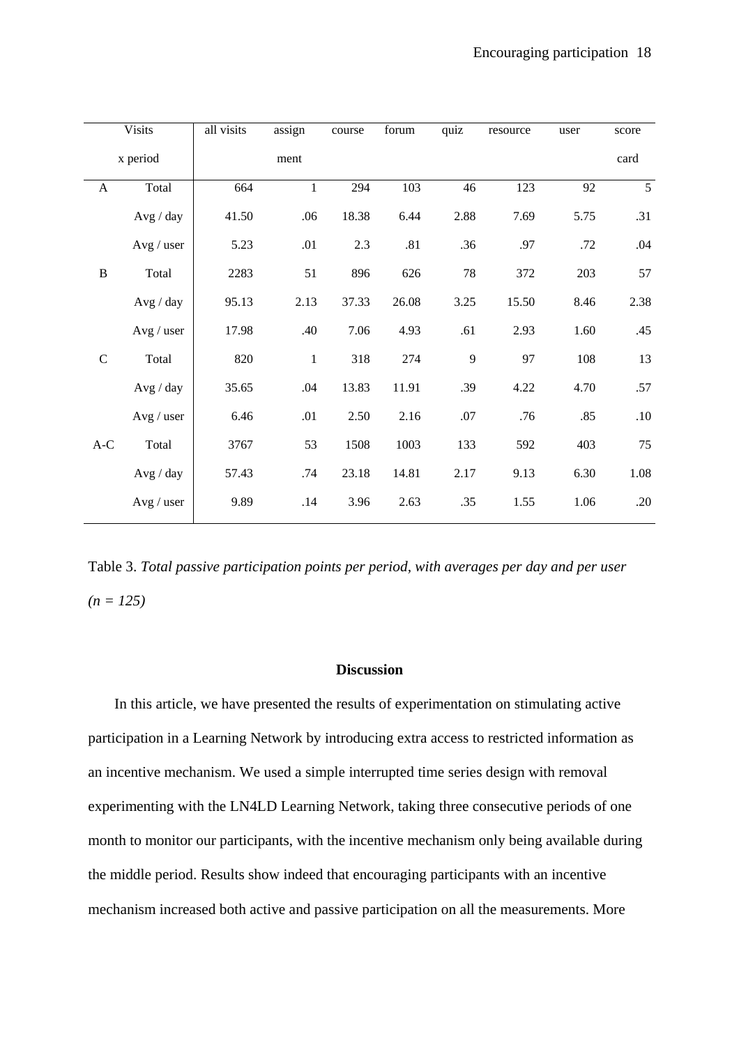| <b>Visits</b> |              | all visits | assign       | course | ${\it forum}$ | quiz | resource | user | score           |
|---------------|--------------|------------|--------------|--------|---------------|------|----------|------|-----------------|
| x period      |              |            | ment         |        |               |      |          |      | card            |
| $\mathbf{A}$  | Total        | 664        | $\mathbf{1}$ | 294    | 103           | 46   | 123      | 92   | $5\overline{)}$ |
|               | Avg / day    | 41.50      | .06          | 18.38  | 6.44          | 2.88 | 7.69     | 5.75 | .31             |
|               | Avg / user   | 5.23       | .01          | 2.3    | .81           | .36  | .97      | .72  | .04             |
| $\, {\bf B}$  | Total        | 2283       | 51           | 896    | 626           | 78   | 372      | 203  | 57              |
|               | Avg / day    | 95.13      | 2.13         | 37.33  | 26.08         | 3.25 | 15.50    | 8.46 | 2.38            |
|               | $Avg$ / user | 17.98      | .40          | 7.06   | 4.93          | .61  | 2.93     | 1.60 | .45             |
| $\mathsf C$   | Total        | 820        | $\,1\,$      | 318    | 274           | 9    | 97       | 108  | 13              |
|               | Avg / day    | 35.65      | .04          | 13.83  | 11.91         | .39  | 4.22     | 4.70 | .57             |
|               | $Avg$ / user | 6.46       | .01          | 2.50   | 2.16          | .07  | .76      | .85  | .10             |
| $A-C$         | Total        | 3767       | 53           | 1508   | 1003          | 133  | 592      | 403  | 75              |
|               | Avg / day    | 57.43      | .74          | 23.18  | 14.81         | 2.17 | 9.13     | 6.30 | 1.08            |
|               | $Avg$ / user | 9.89       | .14          | 3.96   | 2.63          | .35  | 1.55     | 1.06 | .20             |

Table 3. *Total passive participation points per period, with averages per day and per user (n = 125)*

#### **Discussion**

 In this article, we have presented the results of experimentation on stimulating active participation in a Learning Network by introducing extra access to restricted information as an incentive mechanism. We used a simple interrupted time series design with removal experimenting with the LN4LD Learning Network, taking three consecutive periods of one month to monitor our participants, with the incentive mechanism only being available during the middle period. Results show indeed that encouraging participants with an incentive mechanism increased both active and passive participation on all the measurements. More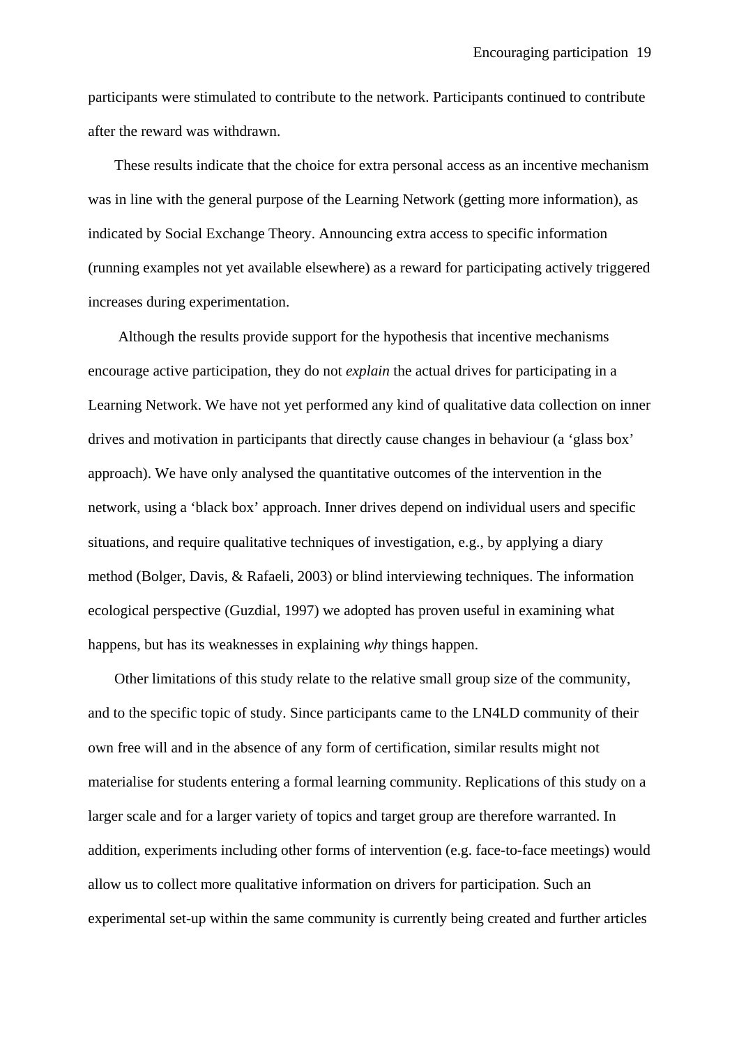participants were stimulated to contribute to the network. Participants continued to contribute after the reward was withdrawn.

 These results indicate that the choice for extra personal access as an incentive mechanism was in line with the general purpose of the Learning Network (getting more information), as indicated by Social Exchange Theory. Announcing extra access to specific information (running examples not yet available elsewhere) as a reward for participating actively triggered increases during experimentation.

 Although the results provide support for the hypothesis that incentive mechanisms encourage active participation, they do not *explain* the actual drives for participating in a Learning Network. We have not yet performed any kind of qualitative data collection on inner drives and motivation in participants that directly cause changes in behaviour (a 'glass box' approach). We have only analysed the quantitative outcomes of the intervention in the network, using a 'black box' approach. Inner drives depend on individual users and specific situations, and require qualitative techniques of investigation, e.g., by applying a diary method (Bolger, Davis, & Rafaeli, 2003) or blind interviewing techniques. The information ecological perspective (Guzdial, 1997) we adopted has proven useful in examining what happens, but has its weaknesses in explaining *why* things happen.

 Other limitations of this study relate to the relative small group size of the community, and to the specific topic of study. Since participants came to the LN4LD community of their own free will and in the absence of any form of certification, similar results might not materialise for students entering a formal learning community. Replications of this study on a larger scale and for a larger variety of topics and target group are therefore warranted. In addition, experiments including other forms of intervention (e.g. face-to-face meetings) would allow us to collect more qualitative information on drivers for participation. Such an experimental set-up within the same community is currently being created and further articles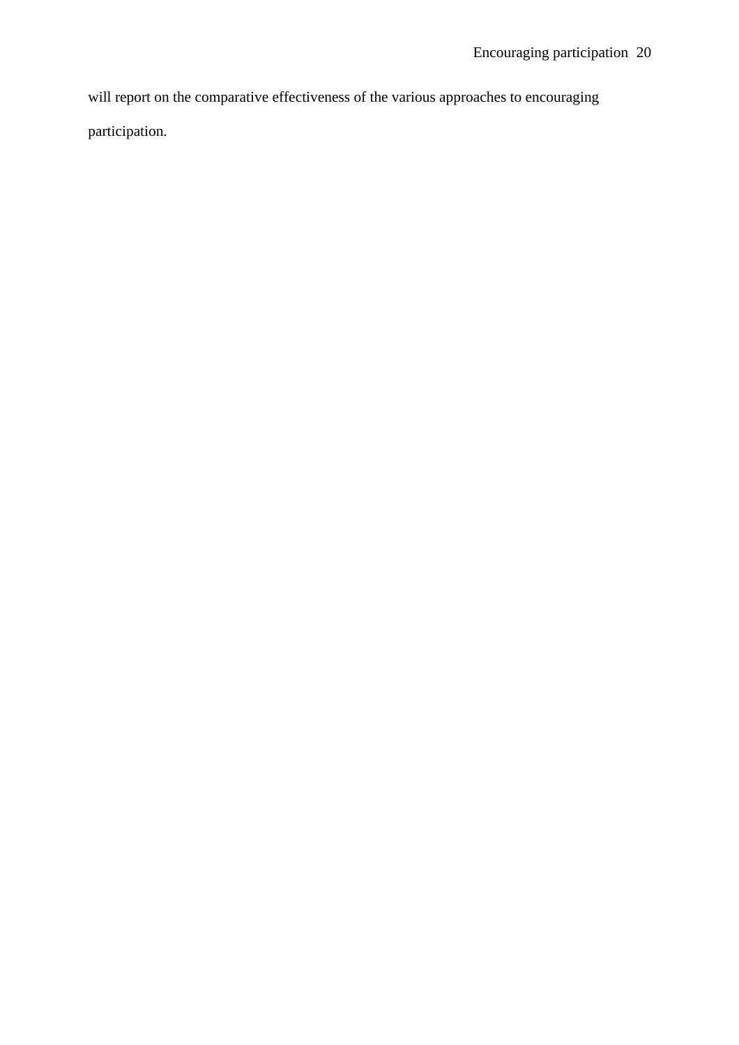will report on the comparative effectiveness of the various approaches to encouraging participation.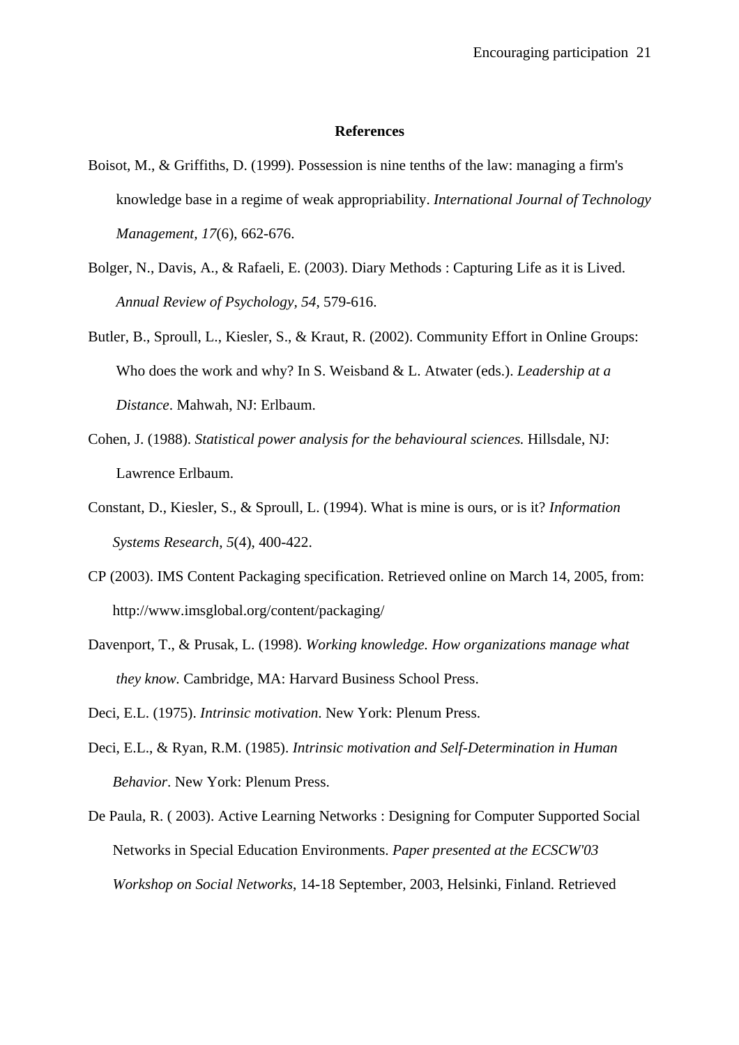#### **References**

- Boisot, M., & Griffiths, D. (1999). Possession is nine tenths of the law: managing a firm's knowledge base in a regime of weak appropriability. *International Journal of Technology Management, 17*(6), 662-676.
- Bolger, N., Davis, A., & Rafaeli, E. (2003). Diary Methods : Capturing Life as it is Lived. *Annual Review of Psychology, 54*, 579-616.
- Butler, B., Sproull, L., Kiesler, S., & Kraut, R. (2002). Community Effort in Online Groups: Who does the work and why? In S. Weisband & L. Atwater (eds.). *Leadership at a Distance*. Mahwah, NJ: Erlbaum.
- Cohen, J. (1988). *Statistical power analysis for the behavioural sciences.* Hillsdale, NJ: Lawrence Erlbaum.
- Constant, D., Kiesler, S., & Sproull, L. (1994). What is mine is ours, or is it? *Information Systems Research*, *5*(4), 400-422.
- CP (2003). IMS Content Packaging specification. Retrieved online on March 14, 2005, from: http://www.imsglobal.org/content/packaging/
- Davenport, T., & Prusak, L. (1998). *Working knowledge. How organizations manage what they know.* Cambridge, MA: Harvard Business School Press.

Deci, E.L. (1975). *Intrinsic motivation*. New York: Plenum Press.

- Deci, E.L., & Ryan, R.M. (1985). *Intrinsic motivation and Self-Determination in Human Behavior*. New York: Plenum Press.
- De Paula, R. ( 2003). Active Learning Networks : Designing for Computer Supported Social Networks in Special Education Environments. *Paper presented at the ECSCW'03 Workshop on Social Networks*, 14-18 September, 2003, Helsinki, Finland. Retrieved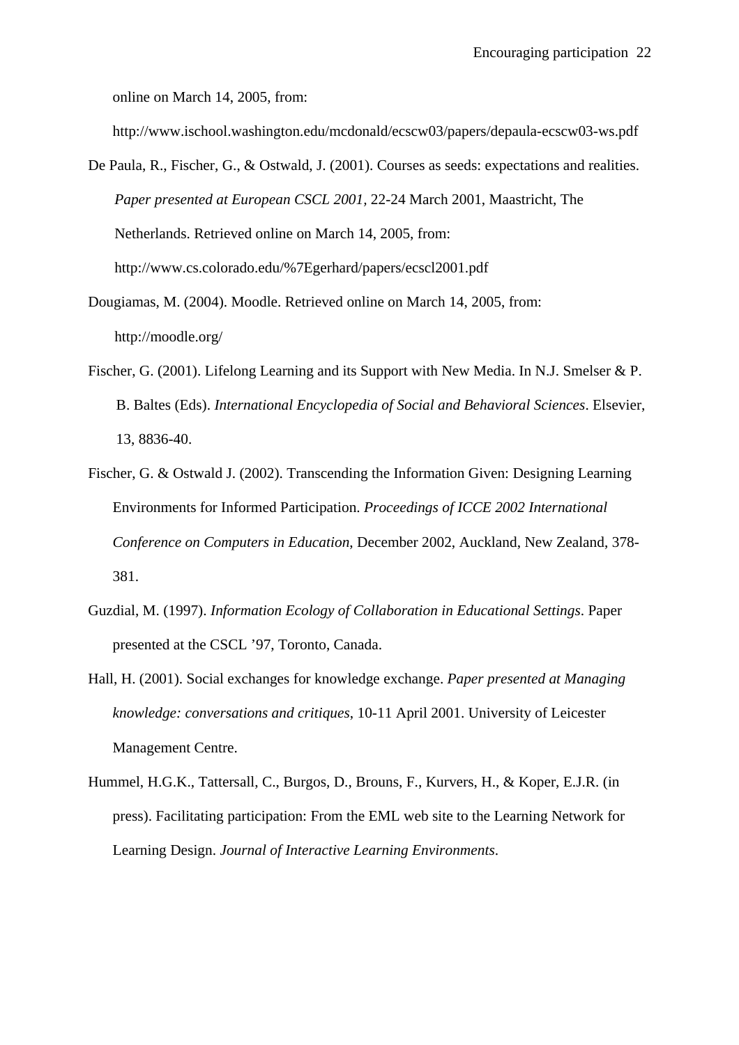online on March 14, 2005, from:

http://www.ischool.washington.edu/mcdonald/ecscw03/papers/depaula-ecscw03-ws.pdf

- De Paula, R., Fischer, G., & Ostwald, J. (2001). Courses as seeds: expectations and realities. *Paper presented at European CSCL 2001,* 22-24 March 2001, Maastricht, The Netherlands. Retrieved online on March 14, 2005, from: http://www.cs.colorado.edu/%7Egerhard/papers/ecscl2001.pdf
- Dougiamas, M. (2004). Moodle. Retrieved online on March 14, 2005, from: http://moodle.org/
- Fischer, G. (2001). Lifelong Learning and its Support with New Media. In N.J. Smelser & P. B. Baltes (Eds). *International Encyclopedia of Social and Behavioral Sciences*. Elsevier, 13, 8836-40.
- Fischer, G. & Ostwald J. (2002). Transcending the Information Given: Designing Learning Environments for Informed Participation. *Proceedings of ICCE 2002 International Conference on Computers in Education*, December 2002, Auckland, New Zealand, 378- 381.
- Guzdial, M. (1997). *Information Ecology of Collaboration in Educational Settings*. Paper presented at the CSCL '97, Toronto, Canada.
- Hall, H. (2001). Social exchanges for knowledge exchange. *Paper presented at Managing knowledge: conversations and critiques*, 10-11 April 2001. University of Leicester Management Centre.
- Hummel, H.G.K., Tattersall, C., Burgos, D., Brouns, F., Kurvers, H., & Koper, E.J.R. (in press). Facilitating participation: From the EML web site to the Learning Network for Learning Design. *Journal of Interactive Learning Environments*.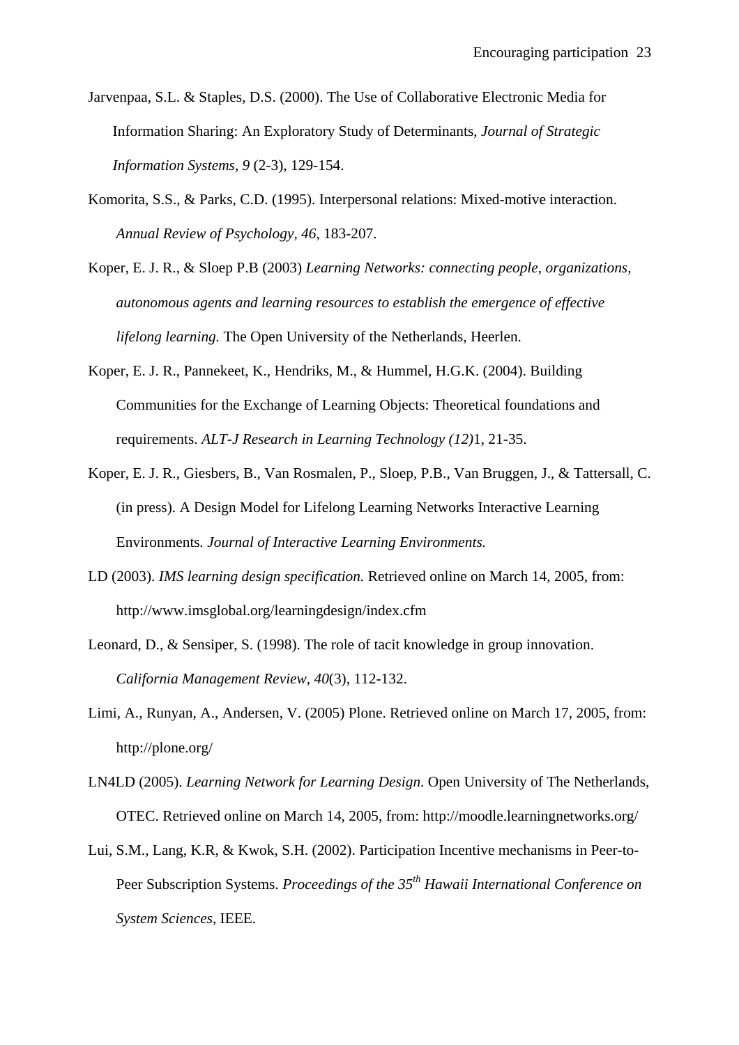- Jarvenpaa, S.L. & Staples, D.S. (2000). The Use of Collaborative Electronic Media for Information Sharing: An Exploratory Study of Determinants, *Journal of Strategic Information Systems, 9* (2-3), 129-154.
- Komorita, S.S., & Parks, C.D. (1995). Interpersonal relations: Mixed-motive interaction. *Annual Review of Psychology, 46*, 183-207.
- Koper, E. J. R., & Sloep P.B (2003) *Learning Networks: connecting people, organizations, autonomous agents and learning resources to establish the emergence of effective lifelong learning.* The Open University of the Netherlands, Heerlen.
- Koper, E. J. R., Pannekeet, K., Hendriks, M., & Hummel, H.G.K. (2004). Building Communities for the Exchange of Learning Objects: Theoretical foundations and requirements. *ALT-J Research in Learning Technology (12)*1, 21-35.
- Koper, E. J. R., Giesbers, B., Van Rosmalen, P., Sloep, P.B., Van Bruggen, J., & Tattersall, C. (in press). A Design Model for Lifelong Learning Networks Interactive Learning Environments*. Journal of Interactive Learning Environments.*
- LD (2003). *IMS learning design specification.* Retrieved online on March 14, 2005, from: http://www.imsglobal.org/learningdesign/index.cfm
- Leonard, D., & Sensiper, S. (1998). The role of tacit knowledge in group innovation. *California Management Review, 40*(3), 112-132.
- Limi, A., Runyan, A., Andersen, V. (2005) Plone. Retrieved online on March 17, 2005, from: http://plone.org/
- LN4LD (2005). *Learning Network for Learning Design*. Open University of The Netherlands, OTEC. Retrieved online on March 14, 2005, from: http://moodle.learningnetworks.org/
- Lui, S.M., Lang, K.R, & Kwok, S.H. (2002). Participation Incentive mechanisms in Peer-to-Peer Subscription Systems. *Proceedings of the 35th Hawaii International Conference on System Sciences*, IEEE.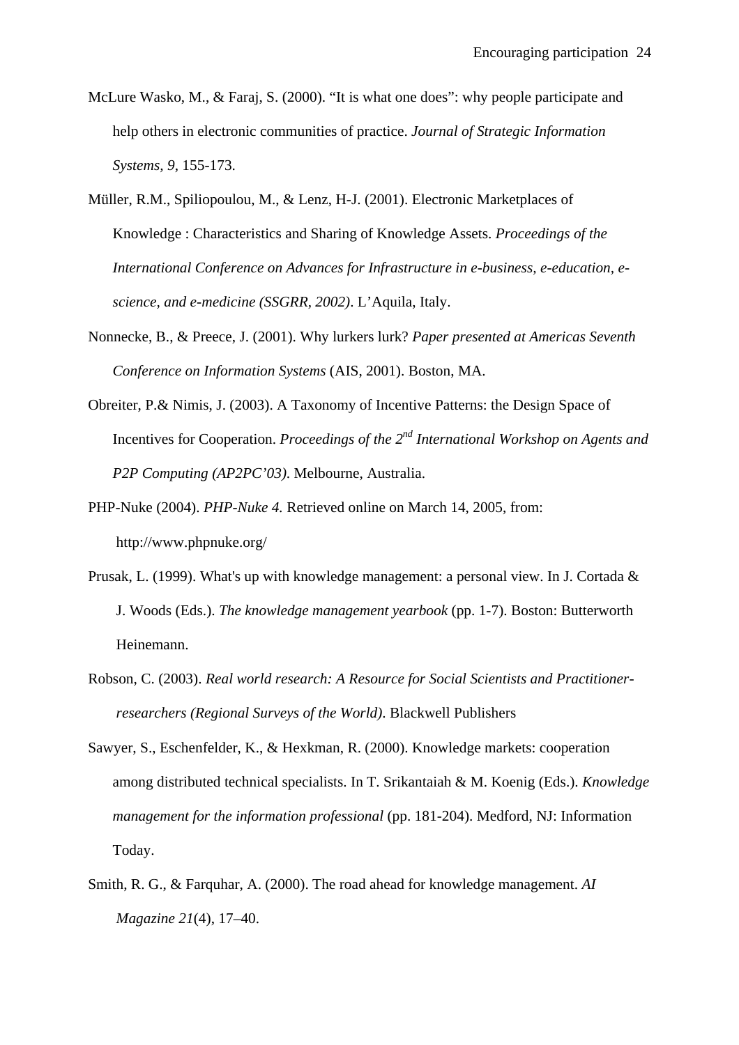- McLure Wasko, M., & Faraj, S. (2000). "It is what one does": why people participate and help others in electronic communities of practice. *Journal of Strategic Information Systems, 9*, 155-173.
- Müller, R.M., Spiliopoulou, M., & Lenz, H-J. (2001). Electronic Marketplaces of Knowledge : Characteristics and Sharing of Knowledge Assets. *Proceedings of the International Conference on Advances for Infrastructure in e-business, e-education, escience, and e-medicine (SSGRR, 2002)*. L'Aquila, Italy.
- Nonnecke, B., & Preece, J. (2001). Why lurkers lurk? *Paper presented at Americas Seventh Conference on Information Systems* (AIS, 2001). Boston, MA.
- Obreiter, P.& Nimis, J. (2003). A Taxonomy of Incentive Patterns: the Design Space of Incentives for Cooperation. *Proceedings of the 2nd International Workshop on Agents and P2P Computing (AP2PC'03)*. Melbourne, Australia.
- PHP-Nuke (2004). *PHP-Nuke 4.* Retrieved online on March 14, 2005, from: http://www.phpnuke.org/
- Prusak, L. (1999). What's up with knowledge management: a personal view. In J. Cortada & J. Woods (Eds.). *The knowledge management yearbook* (pp. 1-7). Boston: Butterworth Heinemann.
- Robson, C. (2003). *Real world research: A Resource for Social Scientists and Practitionerresearchers (Regional Surveys of the World)*. Blackwell Publishers
- Sawyer, S., Eschenfelder, K., & Hexkman, R. (2000). Knowledge markets: cooperation among distributed technical specialists. In T. Srikantaiah & M. Koenig (Eds.). *Knowledge management for the information professional* (pp. 181-204). Medford, NJ: Information Today.
- Smith, R. G., & Farquhar, A. (2000). The road ahead for knowledge management. *AI Magazine 21*(4), 17–40.